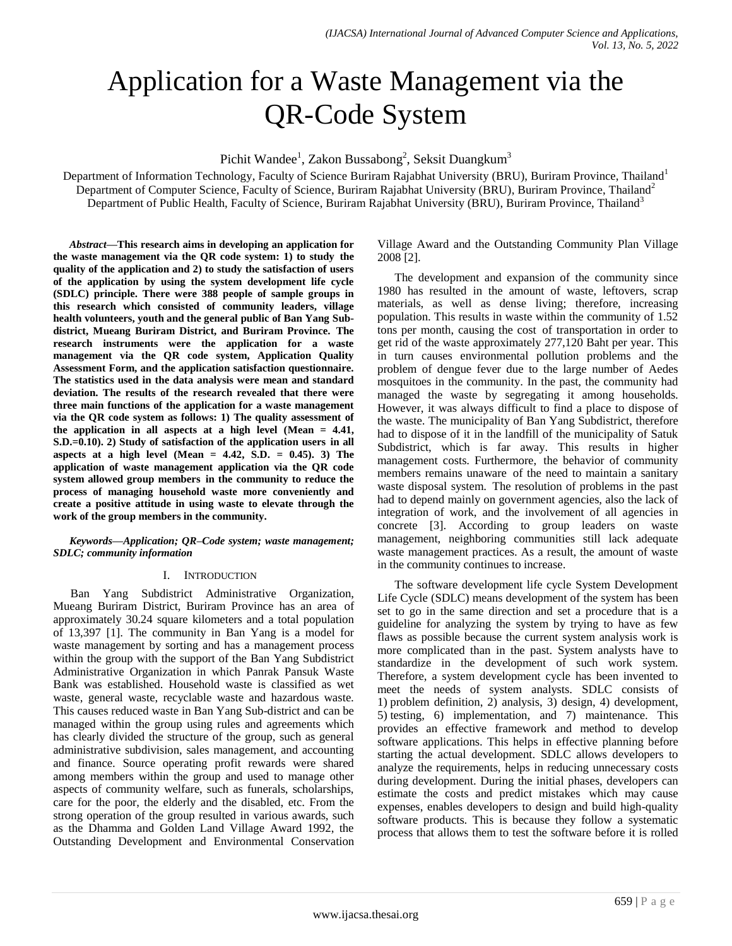# Application for a Waste Management via the QR-Code System

Pichit Wandee<sup>1</sup>, Zakon Bussabong<sup>2</sup>, Seksit Duangkum<sup>3</sup>

Department of Information Technology, Faculty of Science Buriram Rajabhat University (BRU), Buriram Province, Thailand<sup>1</sup> Department of Computer Science, Faculty of Science, Buriram Rajabhat University (BRU), Buriram Province, Thailand<sup>2</sup> Department of Public Health, Faculty of Science, Buriram Rajabhat University (BRU), Buriram Province, Thailand<sup>3</sup>

*Abstract***—This research aims in developing an application for the waste management via the QR code system: 1) to study the quality of the application and 2) to study the satisfaction of users of the application by using the system development life cycle (SDLC) principle. There were 388 people of sample groups in this research which consisted of community leaders, village health volunteers, youth and the general public of Ban Yang Subdistrict, Mueang Buriram District, and Buriram Province. The research instruments were the application for a waste management via the QR code system, Application Quality Assessment Form, and the application satisfaction questionnaire. The statistics used in the data analysis were mean and standard deviation. The results of the research revealed that there were three main functions of the application for a waste management via the QR code system as follows: 1) The quality assessment of the application in all aspects at a high level (Mean = 4.41, S.D.=0.10). 2) Study of satisfaction of the application users in all aspects at a high level (Mean = 4.42, S.D. = 0.45). 3) The application of waste management application via the QR code system allowed group members in the community to reduce the process of managing household waste more conveniently and create a positive attitude in using waste to elevate through the work of the group members in the community.**

### *Keywords—Application; QR–Code system; waste management; SDLC; community information*

## I. INTRODUCTION

Ban Yang Subdistrict Administrative Organization, Mueang Buriram District, Buriram Province has an area of approximately 30.24 square kilometers and a total population of 13,397 [1]. The community in Ban Yang is a model for waste management by sorting and has a management process within the group with the support of the Ban Yang Subdistrict Administrative Organization in which Panrak Pansuk Waste Bank was established. Household waste is classified as wet waste, general waste, recyclable waste and hazardous waste. This causes reduced waste in Ban Yang Sub-district and can be managed within the group using rules and agreements which has clearly divided the structure of the group, such as general administrative subdivision, sales management, and accounting and finance. Source operating profit rewards were shared among members within the group and used to manage other aspects of community welfare, such as funerals, scholarships, care for the poor, the elderly and the disabled, etc. From the strong operation of the group resulted in various awards, such as the Dhamma and Golden Land Village Award 1992, the Outstanding Development and Environmental Conservation Village Award and the Outstanding Community Plan Village 2008 [2].

The development and expansion of the community since 1980 has resulted in the amount of waste, leftovers, scrap materials, as well as dense living; therefore, increasing population. This results in waste within the community of 1.52 tons per month, causing the cost of transportation in order to get rid of the waste approximately 277,120 Baht per year. This in turn causes environmental pollution problems and the problem of dengue fever due to the large number of Aedes mosquitoes in the community. In the past, the community had managed the waste by segregating it among households. However, it was always difficult to find a place to dispose of the waste. The municipality of Ban Yang Subdistrict, therefore had to dispose of it in the landfill of the municipality of Satuk Subdistrict, which is far away. This results in higher management costs. Furthermore, the behavior of community members remains unaware of the need to maintain a sanitary waste disposal system. The resolution of problems in the past had to depend mainly on government agencies, also the lack of integration of work, and the involvement of all agencies in concrete [3]. According to group leaders on waste management, neighboring communities still lack adequate waste management practices. As a result, the amount of waste in the community continues to increase.

The software development life cycle System Development Life Cycle (SDLC) means development of the system has been set to go in the same direction and set a procedure that is a guideline for analyzing the system by trying to have as few flaws as possible because the current system analysis work is more complicated than in the past. System analysts have to standardize in the development of such work system. Therefore, a system development cycle has been invented to meet the needs of system analysts. SDLC consists of 1) problem definition, 2) analysis, 3) design, 4) development, 5) testing, 6) implementation, and 7) maintenance. This provides an effective framework and method to develop software applications. This helps in effective planning before starting the actual development. SDLC allows developers to analyze the requirements, helps in reducing unnecessary costs during development. During the initial phases, developers can estimate the costs and predict mistakes which may cause expenses, enables developers to design and build high-quality software products. This is because they follow a systematic process that allows them to test the software before it is rolled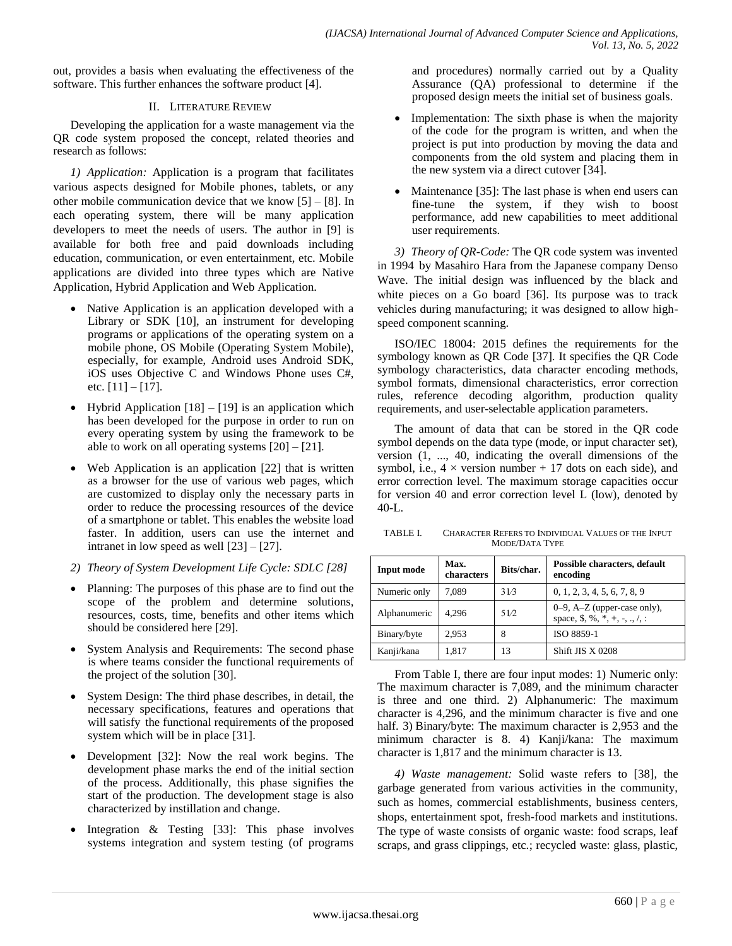out, provides a basis when evaluating the effectiveness of the software. This further enhances the software product [4].

## II. LITERATURE REVIEW

Developing the application for a waste management via the QR code system proposed the concept, related theories and research as follows:

*1) Application:* Application is a program that facilitates various aspects designed for Mobile phones, tablets, or any other mobile communication device that we know [5] – [8]. In each operating system, there will be many application developers to meet the needs of users. The author in [9] is available for both free and paid downloads including education, communication, or even entertainment, etc. Mobile applications are divided into three types which are Native Application, Hybrid Application and Web Application.

- Native Application is an application developed with a Library or SDK [10], an instrument for developing programs or applications of the operating system on a mobile phone, OS Mobile (Operating System Mobile), especially, for example, Android uses Android SDK, iOS uses Objective C and Windows Phone uses C#, etc.  $[11] - [17]$ .
- Hybrid Application  $[18] [19]$  is an application which has been developed for the purpose in order to run on every operating system by using the framework to be able to work on all operating systems  $[20] - [21]$ .
- Web Application is an application [22] that is written as a browser for the use of various web pages, which are customized to display only the necessary parts in order to reduce the processing resources of the device of a smartphone or tablet. This enables the website load faster. In addition, users can use the internet and intranet in low speed as well [23] – [27].
- *2) Theory of System Development Life Cycle: SDLC [28]*
- Planning: The purposes of this phase are to find out the scope of the problem and determine solutions, resources, costs, time, benefits and other items which should be considered here [29].
- System Analysis and Requirements: The second phase is where teams consider the functional requirements of the project of the solution [30].
- System Design: The third phase describes, in detail, the necessary specifications, features and operations that will satisfy the functional requirements of the proposed system which will be in place [31].
- Development [32]: Now the real work begins. The development phase marks the end of the initial section of the process. Additionally, this phase signifies the start of the production. The development stage is also characterized by instillation and change.
- Integration & Testing [33]: This phase involves systems integration and system testing (of programs

and procedures) normally carried out by a Quality Assurance (QA) professional to determine if the proposed design meets the initial set of business goals.

- Implementation: The sixth phase is when the majority of the code for the program is written, and when the project is put into production by moving the data and components from the old system and placing them in the new system via a direct cutover [34].
- Maintenance [35]: The last phase is when end users can fine-tune the system, if they wish to boost performance, add new capabilities to meet additional user requirements.

*3) Theory of QR-Code:* The QR code system was invented in 1994 by Masahiro Hara from the Japanese company Denso Wave. The initial design was influenced by the black and white pieces on a Go board [36]. Its purpose was to track vehicles during manufacturing; it was designed to allow highspeed component scanning.

ISO/IEC 18004: 2015 defines the requirements for the symbology known as QR Code [37]. It specifies the QR Code symbology characteristics, data character encoding methods, symbol formats, dimensional characteristics, error correction rules, reference decoding algorithm, production quality requirements, and user-selectable application parameters.

The amount of data that can be stored in the QR code symbol depends on the data type (mode, or input character set), version (1, ..., 40, indicating the overall dimensions of the symbol, i.e.,  $4 \times$  version number + 17 dots on each side), and error correction level. The maximum storage capacities occur for version 40 and error correction level L (low), denoted by 40-L.

TABLE I. CHARACTER REFERS TO INDIVIDUAL VALUES OF THE INPUT MODE/DATA TYPE

| Input mode   | Max.<br>characters | Bits/char. | Possible characters, default<br>encoding                                |  |
|--------------|--------------------|------------|-------------------------------------------------------------------------|--|
| Numeric only | 7.089              | 31/3       | 0, 1, 2, 3, 4, 5, 6, 7, 8, 9                                            |  |
| Alphanumeric | 4.296              | 51/2       | $0-9$ , A-Z (upper-case only),<br>space, \$, %, $*, +, -, \ldots, /, :$ |  |
| Binary/byte  | 2.953              | 8          | ISO 8859-1                                                              |  |
| Kanji/kana   | 1,817              | 13         | Shift JIS X 0208                                                        |  |

From Table I, there are four input modes: 1) Numeric only: The maximum character is 7,089, and the minimum character is three and one third. 2) Alphanumeric: The maximum character is 4,296, and the minimum character is five and one half. 3) Binary/byte: The maximum character is 2,953 and the minimum character is 8. 4) Kanji/kana: The maximum character is 1,817 and the minimum character is 13.

*4) Waste management:* Solid waste refers to [38], the garbage generated from various activities in the community, such as homes, commercial establishments, business centers, shops, entertainment spot, fresh-food markets and institutions. The type of waste consists of organic waste: food scraps, leaf scraps, and grass clippings, etc.; recycled waste: glass, plastic,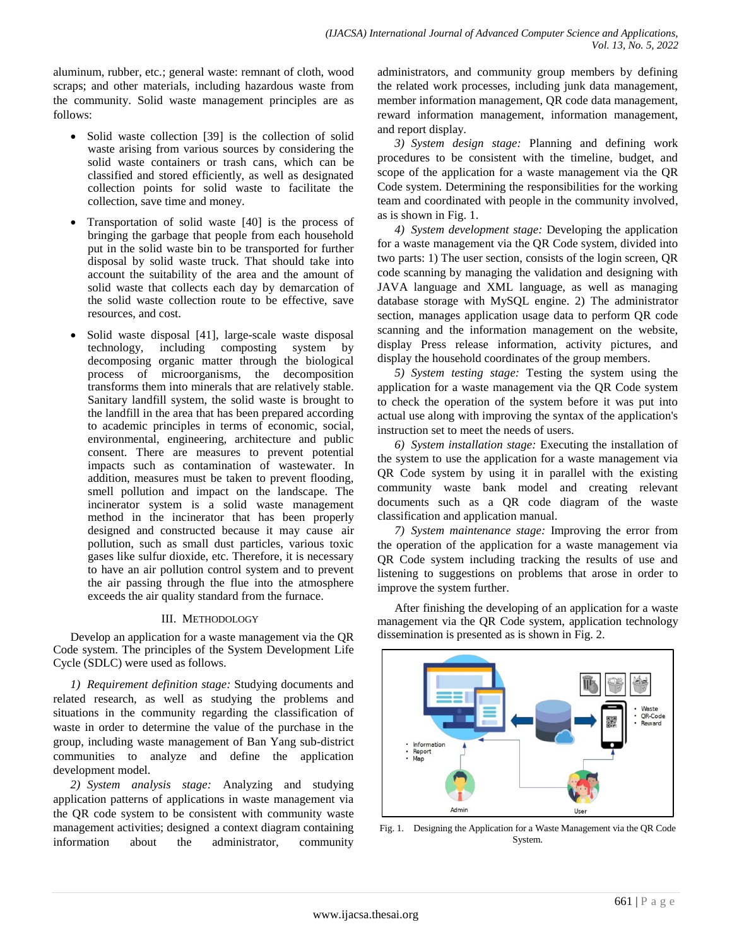aluminum, rubber, etc.; general waste: remnant of cloth, wood scraps; and other materials, including hazardous waste from the community. Solid waste management principles are as follows:

- Solid waste collection [39] is the collection of solid waste arising from various sources by considering the solid waste containers or trash cans, which can be classified and stored efficiently, as well as designated collection points for solid waste to facilitate the collection, save time and money.
- Transportation of solid waste [40] is the process of bringing the garbage that people from each household put in the solid waste bin to be transported for further disposal by solid waste truck. That should take into account the suitability of the area and the amount of solid waste that collects each day by demarcation of the solid waste collection route to be effective, save resources, and cost.
- Solid waste disposal [41], large-scale waste disposal technology, including composting system by decomposing organic matter through the biological process of microorganisms, the decomposition transforms them into minerals that are relatively stable. Sanitary landfill system, the solid waste is brought to the landfill in the area that has been prepared according to academic principles in terms of economic, social, environmental, engineering, architecture and public consent. There are measures to prevent potential impacts such as contamination of wastewater. In addition, measures must be taken to prevent flooding, smell pollution and impact on the landscape. The incinerator system is a solid waste management method in the incinerator that has been properly designed and constructed because it may cause air pollution, such as small dust particles, various toxic gases like sulfur dioxide, etc. Therefore, it is necessary to have an air pollution control system and to prevent the air passing through the flue into the atmosphere exceeds the air quality standard from the furnace.

# III. METHODOLOGY

Develop an application for a waste management via the QR Code system. The principles of the System Development Life Cycle (SDLC) were used as follows.

*1) Requirement definition stage:* Studying documents and related research, as well as studying the problems and situations in the community regarding the classification of waste in order to determine the value of the purchase in the group, including waste management of Ban Yang sub-district communities to analyze and define the application development model.

*2) System analysis stage:* Analyzing and studying application patterns of applications in waste management via the QR code system to be consistent with community waste management activities; designed a context diagram containing information about the administrator, community administrators, and community group members by defining the related work processes, including junk data management, member information management, QR code data management, reward information management, information management, and report display.

*3) System design stage:* Planning and defining work procedures to be consistent with the timeline, budget, and scope of the application for a waste management via the QR Code system. Determining the responsibilities for the working team and coordinated with people in the community involved, as is shown in Fig. 1.

*4) System development stage:* Developing the application for a waste management via the QR Code system, divided into two parts: 1) The user section, consists of the login screen, QR code scanning by managing the validation and designing with JAVA language and XML language, as well as managing database storage with MySQL engine. 2) The administrator section, manages application usage data to perform QR code scanning and the information management on the website, display Press release information, activity pictures, and display the household coordinates of the group members.

*5) System testing stage:* Testing the system using the application for a waste management via the QR Code system to check the operation of the system before it was put into actual use along with improving the syntax of the application's instruction set to meet the needs of users.

*6) System installation stage:* Executing the installation of the system to use the application for a waste management via QR Code system by using it in parallel with the existing community waste bank model and creating relevant documents such as a QR code diagram of the waste classification and application manual.

*7) System maintenance stage:* Improving the error from the operation of the application for a waste management via QR Code system including tracking the results of use and listening to suggestions on problems that arose in order to improve the system further.

After finishing the developing of an application for a waste management via the QR Code system, application technology dissemination is presented as is shown in Fig. 2.



Fig. 1. Designing the Application for a Waste Management via the QR Code System.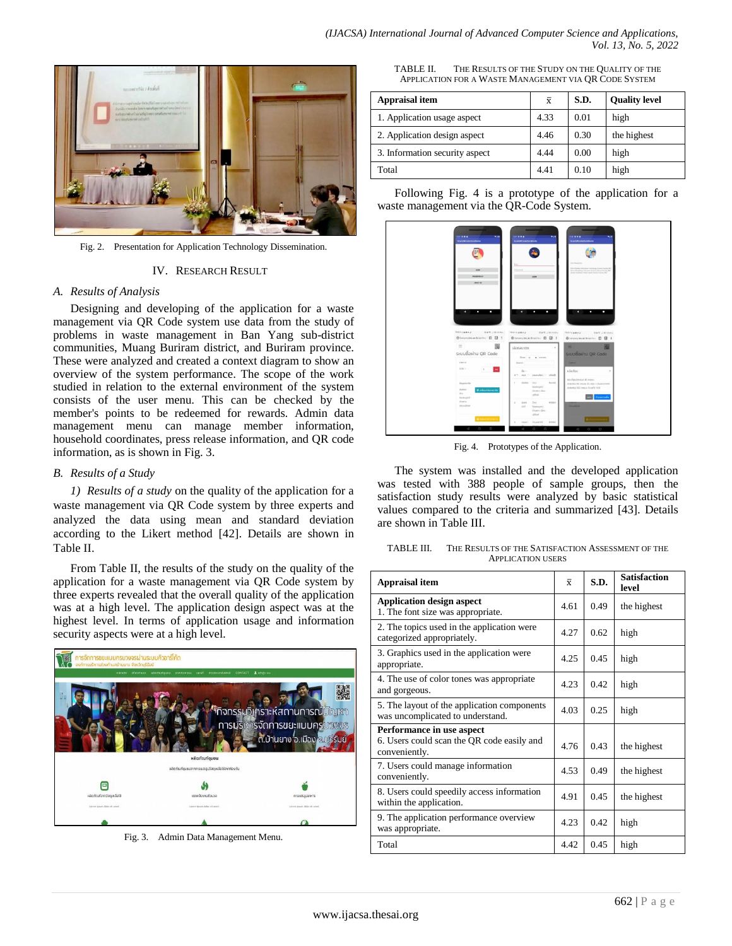

Fig. 2. Presentation for Application Technology Dissemination.

#### IV. RESEARCH RESULT

### *A. Results of Analysis*

Designing and developing of the application for a waste management via QR Code system use data from the study of problems in waste management in Ban Yang sub-district communities, Muang Buriram district, and Buriram province. These were analyzed and created a context diagram to show an overview of the system performance. The scope of the work studied in relation to the external environment of the system consists of the user menu. This can be checked by the member's points to be redeemed for rewards. Admin data management menu can manage member information, household coordinates, press release information, and QR code information, as is shown in Fig. 3.

## *B. Results of a Study*

*1) Results of a study* on the quality of the application for a waste management via QR Code system by three experts and analyzed the data using mean and standard deviation according to the Likert method [42]. Details are shown in Table II.

From Table II, the results of the study on the quality of the application for a waste management via QR Code system by three experts revealed that the overall quality of the application was at a high level. The application design aspect was at the highest level. In terms of application usage and information security aspects were at a high level.



Fig. 3. Admin Data Management Menu.

TABLE II. THE RESULTS OF THE STUDY ON THE QUALITY OF THE APPLICATION FOR A WASTE MANAGEMENT VIA QR CODE SYSTEM

| Appraisal item                 | $\overline{x}$ | S.D. | <b>Quality level</b> |
|--------------------------------|----------------|------|----------------------|
| 1. Application usage aspect    | 4.33           | 0.01 | high                 |
| 2. Application design aspect   | 4.46           | 0.30 | the highest          |
| 3. Information security aspect | 4.44           | 0.00 | high                 |
| Total                          | 4.41           | 0.10 | high                 |

Following Fig. 4 is a prototype of the application for a waste management via the QR-Code System.



Fig. 4. Prototypes of the Application.

The system was installed and the developed application was tested with 388 people of sample groups, then the satisfaction study results were analyzed by basic statistical values compared to the criteria and summarized [43]. Details are shown in Table III.

| TABLE III.               | THE RESULTS OF THE SATISFACTION ASSESSMENT OF THE |  |  |  |  |  |
|--------------------------|---------------------------------------------------|--|--|--|--|--|
| <b>APPLICATION USERS</b> |                                                   |  |  |  |  |  |

| Appraisal item                                                                           |      | S.D. | <b>Satisfaction</b><br>level |
|------------------------------------------------------------------------------------------|------|------|------------------------------|
| <b>Application design aspect</b><br>1. The font size was appropriate.                    |      | 0.49 | the highest                  |
| 2. The topics used in the application were<br>categorized appropriately.                 |      | 0.62 | high                         |
| 3. Graphics used in the application were<br>appropriate.                                 |      | 0.45 | high                         |
| 4. The use of color tones was appropriate<br>and gorgeous.                               |      | 0.42 | high                         |
| 5. The layout of the application components<br>was uncomplicated to understand.          |      | 0.25 | high                         |
| Performance in use aspect<br>6. Users could scan the QR code easily and<br>conveniently. |      | 0.43 | the highest                  |
| 7. Users could manage information<br>conveniently.                                       |      | 0.49 | the highest                  |
| 8. Users could speedily access information<br>within the application.                    |      | 0.45 | the highest                  |
| 9. The application performance overview<br>was appropriate.                              |      | 0.42 | high                         |
| Total                                                                                    | 4.42 | 0.45 | high                         |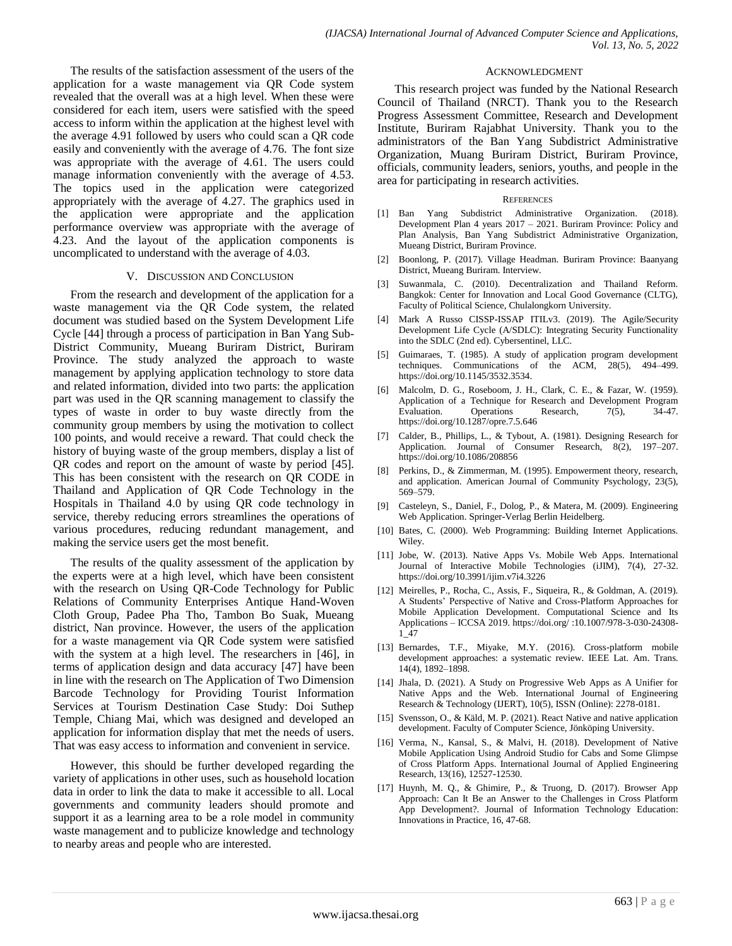The results of the satisfaction assessment of the users of the application for a waste management via QR Code system revealed that the overall was at a high level. When these were considered for each item, users were satisfied with the speed access to inform within the application at the highest level with the average 4.91 followed by users who could scan a QR code easily and conveniently with the average of 4.76. The font size was appropriate with the average of 4.61. The users could manage information conveniently with the average of 4.53. The topics used in the application were categorized appropriately with the average of 4.27. The graphics used in the application were appropriate and the application performance overview was appropriate with the average of 4.23. And the layout of the application components is uncomplicated to understand with the average of 4.03.

#### V. DISCUSSION AND CONCLUSION

From the research and development of the application for a waste management via the QR Code system, the related document was studied based on the System Development Life Cycle [44] through a process of participation in Ban Yang Sub-District Community, Mueang Buriram District, Buriram Province. The study analyzed the approach to waste management by applying application technology to store data and related information, divided into two parts: the application part was used in the QR scanning management to classify the types of waste in order to buy waste directly from the community group members by using the motivation to collect 100 points, and would receive a reward. That could check the history of buying waste of the group members, display a list of QR codes and report on the amount of waste by period [45]. This has been consistent with the research on QR CODE in Thailand and Application of QR Code Technology in the Hospitals in Thailand 4.0 by using QR code technology in service, thereby reducing errors streamlines the operations of various procedures, reducing redundant management, and making the service users get the most benefit.

The results of the quality assessment of the application by the experts were at a high level, which have been consistent with the research on Using QR-Code Technology for Public Relations of Community Enterprises Antique Hand-Woven Cloth Group, Padee Pha Tho, Tambon Bo Suak, Mueang district, Nan province. However, the users of the application for a waste management via QR Code system were satisfied with the system at a high level. The researchers in [46], in terms of application design and data accuracy [47] have been in line with the research on The Application of Two Dimension Barcode Technology for Providing Tourist Information Services at Tourism Destination Case Study: Doi Suthep Temple, Chiang Mai, which was designed and developed an application for information display that met the needs of users. That was easy access to information and convenient in service.

However, this should be further developed regarding the variety of applications in other uses, such as household location data in order to link the data to make it accessible to all. Local governments and community leaders should promote and support it as a learning area to be a role model in community waste management and to publicize knowledge and technology to nearby areas and people who are interested.

#### ACKNOWLEDGMENT

This research project was funded by the National Research Council of Thailand (NRCT). Thank you to the Research Progress Assessment Committee, Research and Development Institute, Buriram Rajabhat University. Thank you to the administrators of the Ban Yang Subdistrict Administrative Organization, Muang Buriram District, Buriram Province, officials, community leaders, seniors, youths, and people in the area for participating in research activities.

#### **REFERENCES**

- [1] Ban Yang Subdistrict Administrative Organization. (2018). Development Plan 4 years 2017 – 2021. Buriram Province: Policy and Plan Analysis, Ban Yang Subdistrict Administrative Organization, Mueang District, Buriram Province.
- [2] Boonlong, P. (2017). Village Headman. Buriram Province: Baanyang District, Mueang Buriram. Interview.
- [3] Suwanmala, C. (2010). Decentralization and Thailand Reform. Bangkok: Center for Innovation and Local Good Governance (CLTG), Faculty of Political Science, Chulalongkorn University.
- [4] Mark A Russo CISSP-ISSAP ITILv3. (2019). The Agile/Security Development Life Cycle (A/SDLC): Integrating Security Functionality into the SDLC (2nd ed). Cybersentinel, LLC.
- [5] Guimaraes, T. (1985). A study of application program development techniques. Communications of the ACM, 28(5), 494–499. https://doi.org/10.1145/3532.3534.
- Malcolm, D. G., Roseboom, J. H., Clark, C. E., & Fazar, W. (1959). Application of a Technique for Research and Development Program Evaluation. Operations Research, 7(5), 34-47. https://doi.org/10.1287/opre.7.5.646
- [7] Calder, B., Phillips, L., & Tybout, A. (1981). Designing Research for Application. Journal of Consumer Research, 8(2), 197–207. https://doi.org/10.1086/208856
- [8] Perkins, D., & Zimmerman, M. (1995). Empowerment theory, research, and application. American Journal of Community Psychology, 23(5), 569–579.
- [9] Casteleyn, S., Daniel, F., Dolog, P., & Matera, M. (2009). Engineering Web Application. Springer-Verlag Berlin Heidelberg.
- [10] Bates, C. (2000). Web Programming: Building Internet Applications. Wiley.
- [11] Jobe, W. (2013). Native Apps Vs. Mobile Web Apps. International Journal of Interactive Mobile Technologies (iJIM), 7(4), 27-32. https://doi.org/10.3991/ijim.v7i4.3226
- [12] Meirelles, P., Rocha, C., Assis, F., Siqueira, R., & Goldman, A. (2019). A Students' Perspective of Native and Cross-Platform Approaches for Mobile Application Development. Computational Science and Its Applications – ICCSA 2019. https://doi.org/ :10.1007/978-3-030-24308- 1\_47
- [13] Bernardes, T.F., Miyake, M.Y. (2016). Cross-platform mobile development approaches: a systematic review. IEEE Lat. Am. Trans. 14(4), 1892–1898.
- [14] Jhala, D. (2021). A Study on Progressive Web Apps as A Unifier for Native Apps and the Web. International Journal of Engineering Research & Technology (IJERT), 10(5), ISSN (Online): 2278-0181.
- [15] Svensson, O., & Käld, M. P. (2021). React Native and native application development. Faculty of Computer Science, Jönköping University.
- [16] Verma, N., Kansal, S., & Malvi, H. (2018). Development of Native Mobile Application Using Android Studio for Cabs and Some Glimpse of Cross Platform Apps. International Journal of Applied Engineering Research, 13(16), 12527-12530.
- [17] Huynh, M. Q., & Ghimire, P., & Truong, D. (2017). Browser App Approach: Can It Be an Answer to the Challenges in Cross Platform App Development?. Journal of Information Technology Education: Innovations in Practice, 16, 47-68.